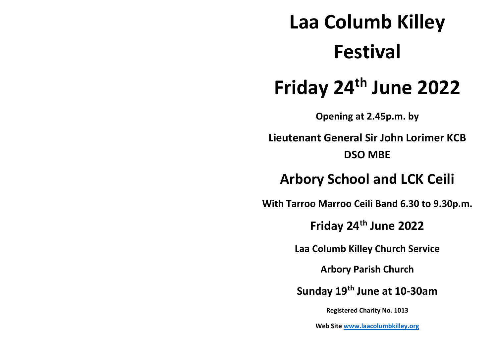# **Laa Columb Killey Festival**

## **Friday 24th June 2022**

**Opening at 2.45p.m. by**

**Lieutenant General Sir John Lorimer KCB DSO MBE**

### **Arbory School and LCK Ceili**

**With Tarroo Marroo Ceili Band 6.30 to 9.30p.m.** 

**Friday 24th June 2022**

**Laa Columb Killey Church Service**

**Arbory Parish Church** 

**Sunday 19th June at 10-30am**

**Registered Charity No. 1013**

**Web Site www.laacolumbkilley.org**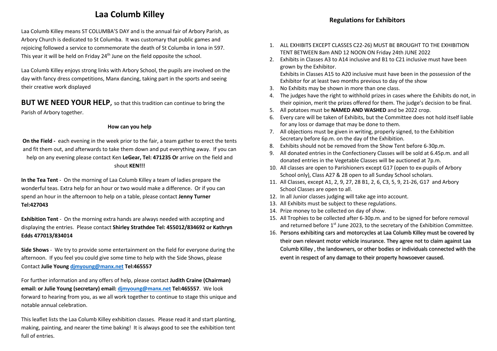#### **Laa Columb Killey**

Laa Columb Killey means ST COLUMBA'S DAY and is the annual fair of Arbory Parish, as Arbory Church is dedicated to St Columba. It was customary that public games and rejoicing followed a service to commemorate the death of St Columba in Iona in 597. This year it will be held on Friday 24<sup>th</sup> June on the field opposite the school.

Laa Columb Killey enjoys strong links with Arbory School, the pupils are involved on the day with fancy dress competitions, Manx dancing, taking part in the sports and seeing their creative work displayed

**BUT WE NEED YOUR HELP**, so that this tradition can continue to bring the Parish of Arbory together.

#### **How can you help**

**On the Field -** each evening in the week prior to the fair, a team gather to erect the tents and fit them out, and afterwards to take them down and put everything away. If you can help on any evening please contact Ken **LeGear, Tel: 471235 Or** arrive on the field and shout **KEN!!!**

**In the Tea Tent** - On the morning of Laa Columb Killey a team of ladies prepare the wonderful teas. Extra help for an hour or two would make a difference. Or if you can spend an hour in the afternoon to help on a table, please contact **Jenny Turner Tel:427043**

**Exhibition Tent** - On the morning extra hands are always needed with accepting and displaying the entries. Please contact **Shirley Strathdee Tel: 455012/834692 or Kathryn Edds 477013/834014**

**Side Shows** - We try to provide some entertainment on the field for everyone during the afternoon. If you feel you could give some time to help with the Side Shows, please Contact **Julie Young djmyoung@manx.net Tel:465557**

For further information and any offers of help, please contact **Judith Craine (Chairman) email: or Julie Young (secretary) email: djmyoung@manx.net Tel:465557**. We look forward to hearing from you, as we all work together to continue to stage this unique and notable annual celebration.

This leaflet lists the Laa Columb Killey exhibition classes. Please read it and start planting, making, painting, and nearer the time baking! It is always good to see the exhibition tent full of entries.

- 1. ALL EXHIBITS EXCEPT CLASSES C22-26) MUST BE BROUGHT TO THE EXHIBITION TENT BETWEEN 8am AND 12 NOON ON Friday 24th JUNE 2022
- 2. Exhibits in Classes A3 to A14 inclusive and B1 to C21 inclusive must have been grown by the Exhibitor.

Exhibits in Classes A15 to A20 inclusive must have been in the possession of the Exhibitor for at least two months previous to day of the show

- 3. No Exhibits may be shown in more than one class.
- 4. The judges have the right to withhold prizes in cases where the Exhibits do not, in their opinion, merit the prizes offered for them. The judge's decision to be final.
- 5. All potatoes must be **NAMED AND WASHED** and be 2022 crop.
- 6. Every care will be taken of Exhibits, but the Committee does not hold itself liable for any loss or damage that may be done to them.
- 7. All objections must be given in writing, properly signed, to the Exhibition Secretary before 6p.m. on the day of the Exhibition.
- 8. Exhibits should not be removed from the Show Tent before 6-30p.m.
- 9. All donated entries in the Confectionery Classes will be sold at 6.45p.m. and all donated entries in the Vegetable Classes will be auctioned at 7p.m.
- 10. All classes are open to Parishioners except G17 (open to ex-pupils of Arbory School only), Class A27 & 28 open to all Sunday School scholars.
- 11. All Classes, except A1, 2, 9, 27, 28 B1, 2, 6, C3, 5, 9, 21-26, G17 and Arbory School Classes are open to all.
- 12. In all Junior classes judging will take age into account.
- 13. All Exhibits must be subject to these regulations.
- 14. Prize money to be collected on day of show.
- 15. All Trophies to be collected after 6-30p.m. and to be signed for before removal and returned before 1<sup>st</sup> June 2023, to the secretary of the Exhibition Committee.
- 16. Persons exhibiting cars and motorcycles at Laa Columb Killey must be covered by their own relevant motor vehicle insurance. They agree not to claim against Laa Columb Killey , the landowners, or other bodies or individuals connected with the event in respect of any damage to their property howsoever caused.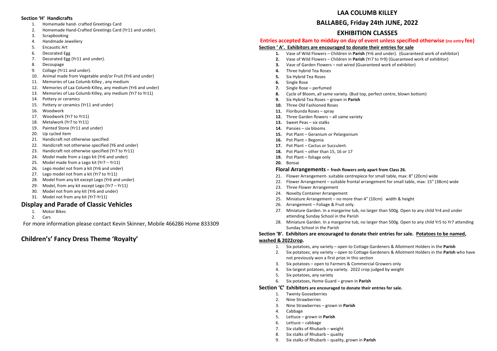#### **Section 'H' Handicrafts**

- 1. Homemade hand- crafted Greetings Card
- 2. Homemade Hand-Crafted Greetings Card (Yr11 and under).
- 3. Scrapbooking
- 4. Handmade Jewellery
- 5. Encaustic Art
- 6. Decorated Egg
- 7. Decorated Egg (Yr11 and under).
- 8. Decoupage
- 9. Collage (Yr11 and under).
- 10. Animal made from Vegetable and/or Fruit (Yr6 and under)
- 11. Memories of Laa Columb Killey , any medium
- 12. Memories of Laa Columb Killey, any medium (Yr6 and under)
- 13. Memories of Laa Columb Killey, any medium (Yr7 to Yr11)
- 14. Pottery or ceramics
- 15. Pottery or ceramics (Yr11 and under)
- 16. Woodwork
- 17. Woodwork (Yr7 to Yr11)
- 18. Metalwork (Yr7 to Yr11)
- 19. Painted Stone (Yr11 and under)
- 20. Up cycled item
- 21. Handicraft not otherwise specified
- 22. Handicraft not otherwise specified (Y6 and under)
- 23. Handicraft not otherwise specified (Yr7 to Yr11)
- 24. Model made from a Lego kit (Yr6 and under)
- 25. Model made from a Lego kit (Yr7 Yr11)
- 26. Lego model not from a kit (Yr6 and under)
- 27. Lego model not from a kit (Yr7 to Yr11)
- 28. Model from any kit except Lego (Yr6 and under)
- 29. Model, from any kit except Lego (Yr7 Yr11)
- 30. Model not from any kit (Yr6 and under)
- 31. Model not from any kit (Yr7-Yr11)

#### **Display and Parade of Classic Vehicles**

- 1. Motor Bikes
- 2. Cars

For more information please contact Kevin Skinner, Mobile 466286 Home 833309

#### **Children's' Fancy Dress Theme 'Royalty'**

#### **LAA COLUMB KILLEY**

#### **BALLABEG, Friday 24th JUNE, 2022**

#### **EXHIBITION CLASSES**

#### **Entries accepted 8am to midday on day of event unless specified otherwise (no entry fee)**

#### **Section ' A'. Exhibitors are encouraged to donate their entries for sale**

- **1.** Vase of Wild Flowers Children in **Parish** (Yr6 and under). (Guaranteed work of exhibitor)
- **2.** Vase of Wild Flowers Children in **Parish** (Yr7 to Yr9) (Guaranteed work of exhibitor)
- **3.** Vase of Garden Flowers not wired (Guaranteed work of exhibitor)
- **4.** Three hybrid Tea Roses
- **5.** Six Hybrid Tea Roses
- **6.** Single Rose
- **7.** Single Rose perfumed
- **8.** Cycle of Bloom, all same variety. (Bud top, perfect centre, blown bottom)
- **9.** Six Hybrid Tea Roses grown in **Parish**
- **10.** Three Old Fashioned Roses
- **11.** Floribunda Roses spray
- **12.** Three Garden flowers all same variety
- **13.** Sweet Peas six stalks
- **14.** Pansies six blooms
- **15.** Pot Plant Geranium or Pelargonium
- **16.** Pot Plant Begonia
- **17.** Pot Plant Cactus or Succulent.
- **18.** Pot Plant other than 15, 16 or 17
- **19.** Pot Plant foliage only
- **20.** Bonsai

#### **Floral Arrangements – fresh flowers only apart from Class 26.**

- 21. Flower Arrangement- suitable centrepiece for small table, max: 8" (20cm) wide
- 22. Flower Arrangement suitable frontal arrangement for small table, max: 15" (38cm) wide
- 23. Three Flower Arrangement
- 24. Novelty Container Arrangement
- 25. Miniature Arrangement no more than 4" (10cm) width & height
- 26. Arrangement Foliage & Fruit only.
- 27. Miniature Garden. In a margarine tub, no larger than 500g. Open to any child Yr4 and under attending Sunday School in the Parish
- 28. Miniature Garden. In a margarine tub, no larger than 500g. Open to any child Yr5 to Yr7 attending Sunday School in the Parish

#### **Section 'B'. Exhibitors are encouraged to donate their entries for sale. Potatoes to be named,**

#### **washed & 2022crop.**

- 1. Six potatoes, any variety open to Cottage Gardeners & Allotment Holders in the **Parish**
- 2. Six potatoes, any variety open to Cottage Gardeners & Allotment Holders in the **Parish** who have not previously won a first prize in this section
- 3. Six potatoes open to Farmers & Commercial Growers only
- 4. Six largest potatoes, any variety. 2022 crop judged by weight
- 5. Six potatoes, any variety
- 6. Six potatoes, Home Guard grown in **Parish**

#### **Section 'C' Exhibitors are encouraged to donate their entries for sale.**

- 1. Twenty Gooseberries
- 2. Nine Strawberries
- 3. Nine Strawberries grown in **Parish**
- 4. Cabbage
- 5. Lettuce grown in **Parish**
- 6. Lettuce cabbage
- 7. Six stalks of Rhubarb weight
- 8. Six stalks of Rhubarb quality
- 9. Six stalks of Rhubarb quality, grown in **Parish**